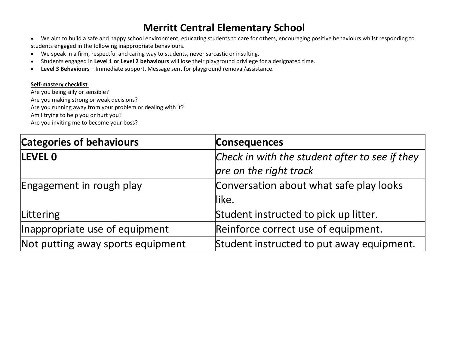## **Merritt Central Elementary School**

- We aim to build a safe and happy school environment, educating students to care for others, encouraging positive behaviours whilst responding to students engaged in the following inappropriate behaviours.
- We speak in a firm, respectful and caring way to students, never sarcastic or insulting.
- Students engaged in **Level 1 or Level 2 behaviours** will lose their playground privilege for a designated time.
- Level 3 Behaviours Immediate support. Message sent for playground removal/assistance.

## **Self-mastery checklist**

Are you being silly or sensible? Are you making strong or weak decisions? Are you running away from your problem or dealing with it? Am I trying to help you or hurt you? Are you inviting me to become your boss?

| <b>Categories of behaviours</b>   | <b>Consequences</b>                                                      |
|-----------------------------------|--------------------------------------------------------------------------|
| <b>LEVEL 0</b>                    | Check in with the student after to see if they<br>are on the right track |
| Engagement in rough play          | Conversation about what safe play looks<br>llike.                        |
| Littering                         | Student instructed to pick up litter.                                    |
| Inappropriate use of equipment    | Reinforce correct use of equipment.                                      |
| Not putting away sports equipment | Student instructed to put away equipment.                                |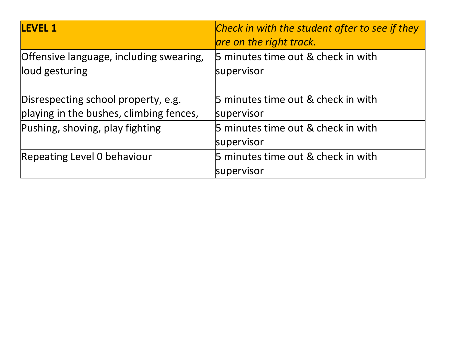| <b>LEVEL 1</b>                                                                 | Check in with the student after to see if they<br>are on the right track. |
|--------------------------------------------------------------------------------|---------------------------------------------------------------------------|
| Offensive language, including swearing,<br>loud gesturing                      | 5 minutes time out & check in with<br>supervisor                          |
| Disrespecting school property, e.g.<br>playing in the bushes, climbing fences, | 5 minutes time out & check in with<br>supervisor                          |
| Pushing, shoving, play fighting                                                | 5 minutes time out & check in with<br>supervisor                          |
| Repeating Level 0 behaviour                                                    | 5 minutes time out & check in with<br>supervisor                          |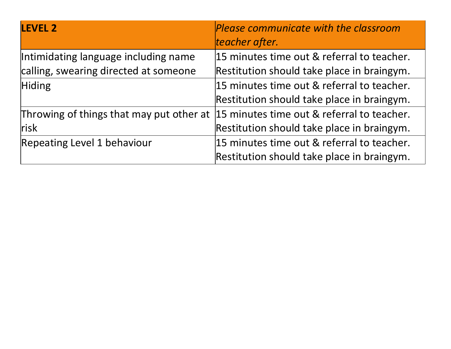| <b>LEVEL 2</b>                        | Please communicate with the classroom<br>teacher after.                                |
|---------------------------------------|----------------------------------------------------------------------------------------|
| Intimidating language including name  | 15 minutes time out & referral to teacher.                                             |
| calling, swearing directed at someone | Restitution should take place in braingym.                                             |
| Hiding                                | 15 minutes time out & referral to teacher.                                             |
|                                       | Restitution should take place in braingym.                                             |
|                                       | Throwing of things that may put other at $ 15$ minutes time out & referral to teacher. |
| <b>risk</b>                           | Restitution should take place in braingym.                                             |
| <b>Repeating Level 1 behaviour</b>    | 15 minutes time out & referral to teacher.                                             |
|                                       | Restitution should take place in braingym.                                             |